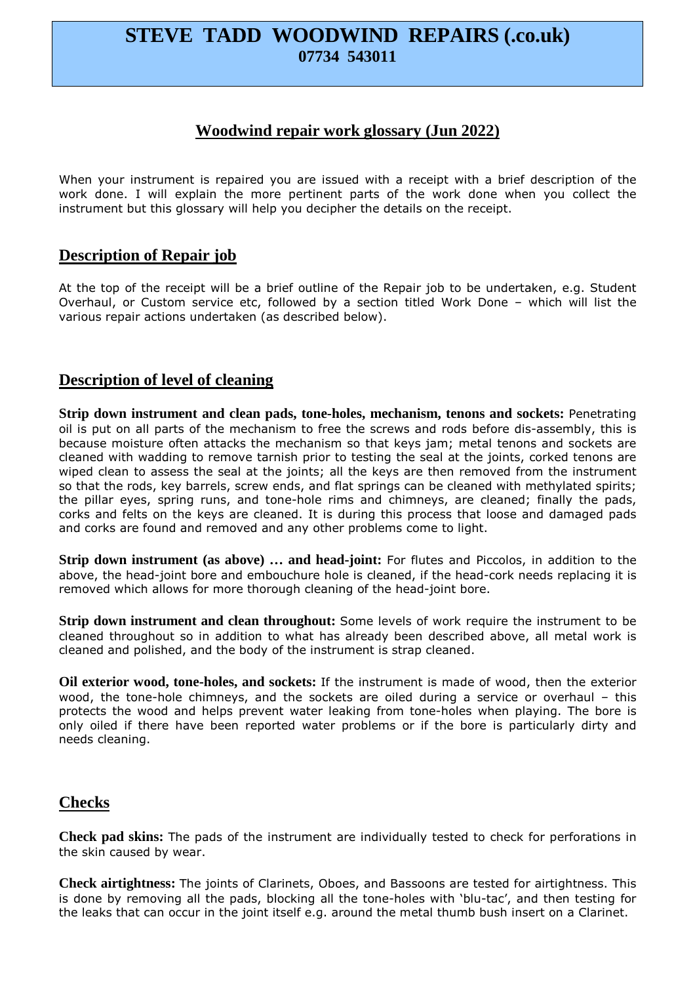# **STEVE TADD WOODWIND REPAIRS (.co.uk) 07734 543011**

# **Woodwind repair work glossary (Jun 2022)**

When your instrument is repaired you are issued with a receipt with a brief description of the work done. I will explain the more pertinent parts of the work done when you collect the instrument but this glossary will help you decipher the details on the receipt.

#### **Description of Repair job**

At the top of the receipt will be a brief outline of the Repair job to be undertaken, e.g. Student Overhaul, or Custom service etc, followed by a section titled Work Done – which will list the various repair actions undertaken (as described below).

#### **Description of level of cleaning**

**Strip down instrument and clean pads, tone-holes, mechanism, tenons and sockets:** Penetrating oil is put on all parts of the mechanism to free the screws and rods before dis-assembly, this is because moisture often attacks the mechanism so that keys jam; metal tenons and sockets are cleaned with wadding to remove tarnish prior to testing the seal at the joints, corked tenons are wiped clean to assess the seal at the joints; all the keys are then removed from the instrument so that the rods, key barrels, screw ends, and flat springs can be cleaned with methylated spirits; the pillar eyes, spring runs, and tone-hole rims and chimneys, are cleaned; finally the pads, corks and felts on the keys are cleaned. It is during this process that loose and damaged pads and corks are found and removed and any other problems come to light.

**Strip down instrument (as above) ... and head-joint:** For flutes and Piccolos, in addition to the above, the head-joint bore and embouchure hole is cleaned, if the head-cork needs replacing it is removed which allows for more thorough cleaning of the head-joint bore.

**Strip down instrument and clean throughout:** Some levels of work require the instrument to be cleaned throughout so in addition to what has already been described above, all metal work is cleaned and polished, and the body of the instrument is strap cleaned.

**Oil exterior wood, tone-holes, and sockets:** If the instrument is made of wood, then the exterior wood, the tone-hole chimneys, and the sockets are oiled during a service or overhaul – this protects the wood and helps prevent water leaking from tone-holes when playing. The bore is only oiled if there have been reported water problems or if the bore is particularly dirty and needs cleaning.

## **Checks**

**Check pad skins:** The pads of the instrument are individually tested to check for perforations in the skin caused by wear.

**Check airtightness:** The joints of Clarinets, Oboes, and Bassoons are tested for airtightness. This is done by removing all the pads, blocking all the tone-holes with 'blu-tac', and then testing for the leaks that can occur in the joint itself e.g. around the metal thumb bush insert on a Clarinet.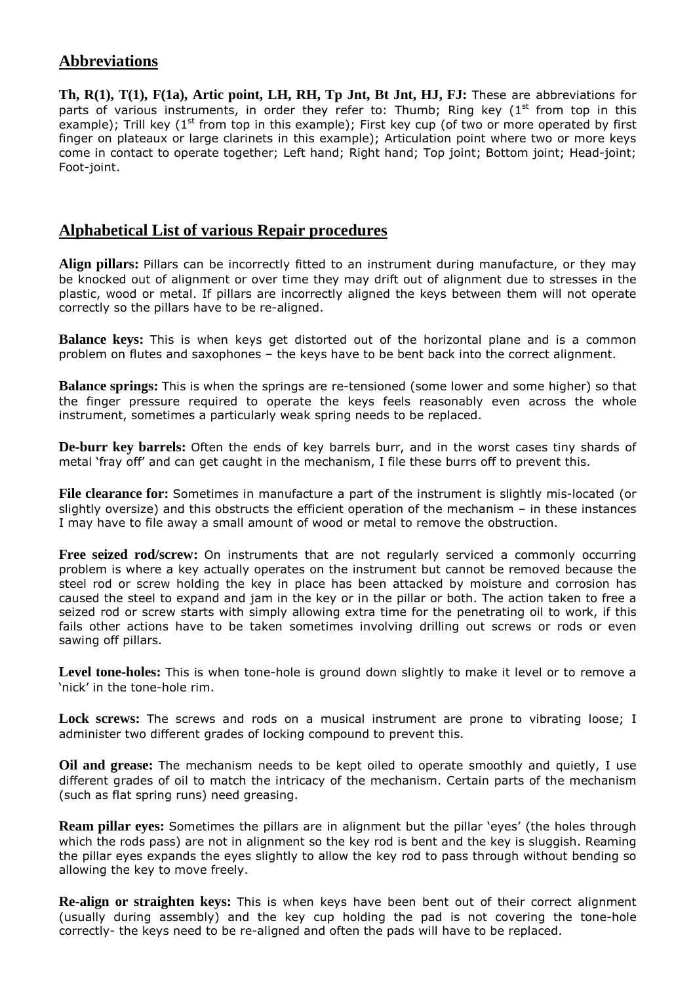# **Abbreviations**

**Th, R(1), T(1), F(1a), Artic point, LH, RH, Tp Jnt, Bt Jnt, HJ, FJ:** These are abbreviations for parts of various instruments, in order they refer to: Thumb; Ring key  $(1<sup>st</sup>$  from top in this example); Trill key (1<sup>st</sup> from top in this example); First key cup (of two or more operated by first finger on plateaux or large clarinets in this example); Articulation point where two or more keys come in contact to operate together; Left hand; Right hand; Top joint; Bottom joint; Head-joint; Foot-joint.

## **Alphabetical List of various Repair procedures**

**Align pillars:** Pillars can be incorrectly fitted to an instrument during manufacture, or they may be knocked out of alignment or over time they may drift out of alignment due to stresses in the plastic, wood or metal. If pillars are incorrectly aligned the keys between them will not operate correctly so the pillars have to be re-aligned.

**Balance keys:** This is when keys get distorted out of the horizontal plane and is a common problem on flutes and saxophones – the keys have to be bent back into the correct alignment.

**Balance springs:** This is when the springs are re-tensioned (some lower and some higher) so that the finger pressure required to operate the keys feels reasonably even across the whole instrument, sometimes a particularly weak spring needs to be replaced.

**De-burr key barrels:** Often the ends of key barrels burr, and in the worst cases tiny shards of metal 'fray off' and can get caught in the mechanism, I file these burrs off to prevent this.

**File clearance for:** Sometimes in manufacture a part of the instrument is slightly mis-located (or slightly oversize) and this obstructs the efficient operation of the mechanism – in these instances I may have to file away a small amount of wood or metal to remove the obstruction.

**Free seized rod/screw:** On instruments that are not regularly serviced a commonly occurring problem is where a key actually operates on the instrument but cannot be removed because the steel rod or screw holding the key in place has been attacked by moisture and corrosion has caused the steel to expand and jam in the key or in the pillar or both. The action taken to free a seized rod or screw starts with simply allowing extra time for the penetrating oil to work, if this fails other actions have to be taken sometimes involving drilling out screws or rods or even sawing off pillars.

**Level tone-holes:** This is when tone-hole is ground down slightly to make it level or to remove a 'nick' in the tone-hole rim.

**Lock screws:** The screws and rods on a musical instrument are prone to vibrating loose; I administer two different grades of locking compound to prevent this.

**Oil and grease:** The mechanism needs to be kept oiled to operate smoothly and quietly, I use different grades of oil to match the intricacy of the mechanism. Certain parts of the mechanism (such as flat spring runs) need greasing.

**Ream pillar eyes:** Sometimes the pillars are in alignment but the pillar 'eyes' (the holes through which the rods pass) are not in alignment so the key rod is bent and the key is sluggish. Reaming the pillar eyes expands the eyes slightly to allow the key rod to pass through without bending so allowing the key to move freely.

**Re-align or straighten keys:** This is when keys have been bent out of their correct alignment (usually during assembly) and the key cup holding the pad is not covering the tone-hole correctly- the keys need to be re-aligned and often the pads will have to be replaced.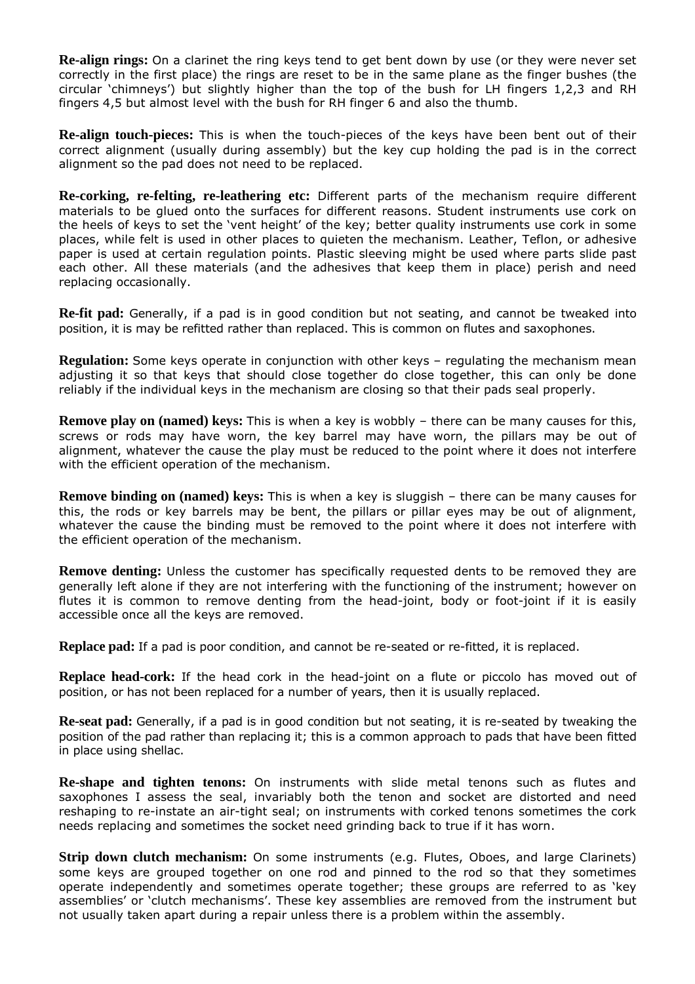**Re-align rings:** On a clarinet the ring keys tend to get bent down by use (or they were never set correctly in the first place) the rings are reset to be in the same plane as the finger bushes (the circular 'chimneys') but slightly higher than the top of the bush for LH fingers 1,2,3 and RH fingers 4,5 but almost level with the bush for RH finger 6 and also the thumb.

**Re-align touch-pieces:** This is when the touch-pieces of the keys have been bent out of their correct alignment (usually during assembly) but the key cup holding the pad is in the correct alignment so the pad does not need to be replaced.

**Re-corking, re-felting, re-leathering etc:** Different parts of the mechanism require different materials to be glued onto the surfaces for different reasons. Student instruments use cork on the heels of keys to set the 'vent height' of the key; better quality instruments use cork in some places, while felt is used in other places to quieten the mechanism. Leather, Teflon, or adhesive paper is used at certain regulation points. Plastic sleeving might be used where parts slide past each other. All these materials (and the adhesives that keep them in place) perish and need replacing occasionally.

**Re-fit pad:** Generally, if a pad is in good condition but not seating, and cannot be tweaked into position, it is may be refitted rather than replaced. This is common on flutes and saxophones.

**Regulation:** Some keys operate in conjunction with other keys – regulating the mechanism mean adjusting it so that keys that should close together do close together, this can only be done reliably if the individual keys in the mechanism are closing so that their pads seal properly.

**Remove play on (named) keys:** This is when a key is wobbly – there can be many causes for this, screws or rods may have worn, the key barrel may have worn, the pillars may be out of alignment, whatever the cause the play must be reduced to the point where it does not interfere with the efficient operation of the mechanism.

**Remove binding on (named) keys:** This is when a key is sluggish – there can be many causes for this, the rods or key barrels may be bent, the pillars or pillar eyes may be out of alignment, whatever the cause the binding must be removed to the point where it does not interfere with the efficient operation of the mechanism.

**Remove denting:** Unless the customer has specifically requested dents to be removed they are generally left alone if they are not interfering with the functioning of the instrument; however on flutes it is common to remove denting from the head-joint, body or foot-joint if it is easily accessible once all the keys are removed.

**Replace pad:** If a pad is poor condition, and cannot be re-seated or re-fitted, it is replaced.

**Replace head-cork:** If the head cork in the head-joint on a flute or piccolo has moved out of position, or has not been replaced for a number of years, then it is usually replaced.

**Re-seat pad:** Generally, if a pad is in good condition but not seating, it is re-seated by tweaking the position of the pad rather than replacing it; this is a common approach to pads that have been fitted in place using shellac.

**Re-shape and tighten tenons:** On instruments with slide metal tenons such as flutes and saxophones I assess the seal, invariably both the tenon and socket are distorted and need reshaping to re-instate an air-tight seal; on instruments with corked tenons sometimes the cork needs replacing and sometimes the socket need grinding back to true if it has worn.

**Strip down clutch mechanism:** On some instruments (e.g. Flutes, Oboes, and large Clarinets) some keys are grouped together on one rod and pinned to the rod so that they sometimes operate independently and sometimes operate together; these groups are referred to as 'key assemblies' or 'clutch mechanisms'. These key assemblies are removed from the instrument but not usually taken apart during a repair unless there is a problem within the assembly.